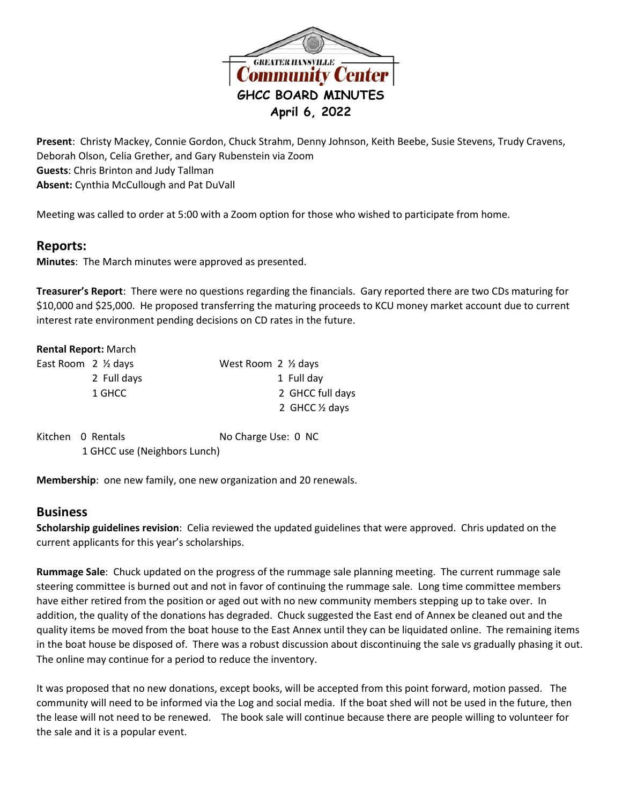

**Present**: Christy Mackey, Connie Gordon, Chuck Strahm, Denny Johnson, Keith Beebe, Susie Stevens, Trudy Cravens, Deborah Olson, Celia Grether, and Gary Rubenstein via Zoom **Guests**: Chris Brinton and Judy Tallman **Absent:** Cynthia McCullough and Pat DuVall

Meeting was called to order at 5:00 with a Zoom option for those who wished to participate from home.

## **Reports:**

**Minutes**: The March minutes were approved as presented.

**Treasurer's Report**: There were no questions regarding the financials. Gary reported there are two CDs maturing for \$10,000 and \$25,000. He proposed transferring the maturing proceeds to KCU money market account due to current interest rate environment pending decisions on CD rates in the future.

|                   | <b>Rental Report: March</b>  |                                |
|-------------------|------------------------------|--------------------------------|
|                   | East Room 2 1/2 days         | West Room $2 \frac{1}{2}$ days |
|                   | 2 Full days                  | 1 Full day                     |
|                   | 1 GHCC                       | 2 GHCC full days               |
|                   |                              | 2 GHCC 1/2 days                |
| Kitchen 0 Rentals |                              | No Charge Use: 0 NC            |
|                   | 1 GHCC use (Neighbors Lunch) |                                |

**Membership**: one new family, one new organization and 20 renewals.

## **Business**

**Scholarship guidelines revision**: Celia reviewed the updated guidelines that were approved. Chris updated on the current applicants for this year's scholarships.

**Rummage Sale**: Chuck updated on the progress of the rummage sale planning meeting. The current rummage sale steering committee is burned out and not in favor of continuing the rummage sale. Long time committee members have either retired from the position or aged out with no new community members stepping up to take over. In addition, the quality of the donations has degraded. Chuck suggested the East end of Annex be cleaned out and the quality items be moved from the boat house to the East Annex until they can be liquidated online. The remaining items in the boat house be disposed of. There was a robust discussion about discontinuing the sale vs gradually phasing it out. The online may continue for a period to reduce the inventory.

It was proposed that no new donations, except books, will be accepted from this point forward, motion passed. The community will need to be informed via the Log and social media. If the boat shed will not be used in the future, then the lease will not need to be renewed. The book sale will continue because there are people willing to volunteer for the sale and it is a popular event.